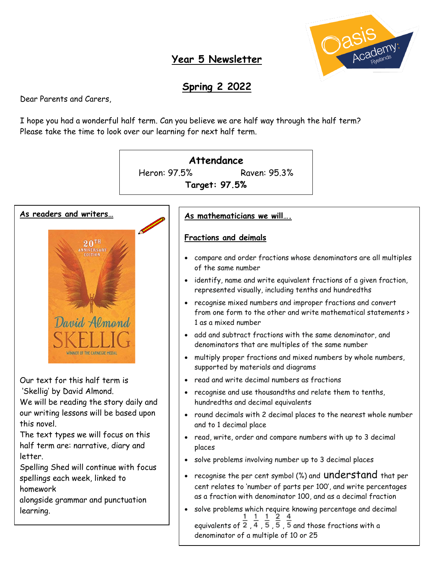

### **Year 5 Newsletter**

# **Spring 2 2022**

Dear Parents and Carers,

I hope you had a wonderful half term. Can you believe we are half way through the half term? Please take the time to look over our learning for next half term.